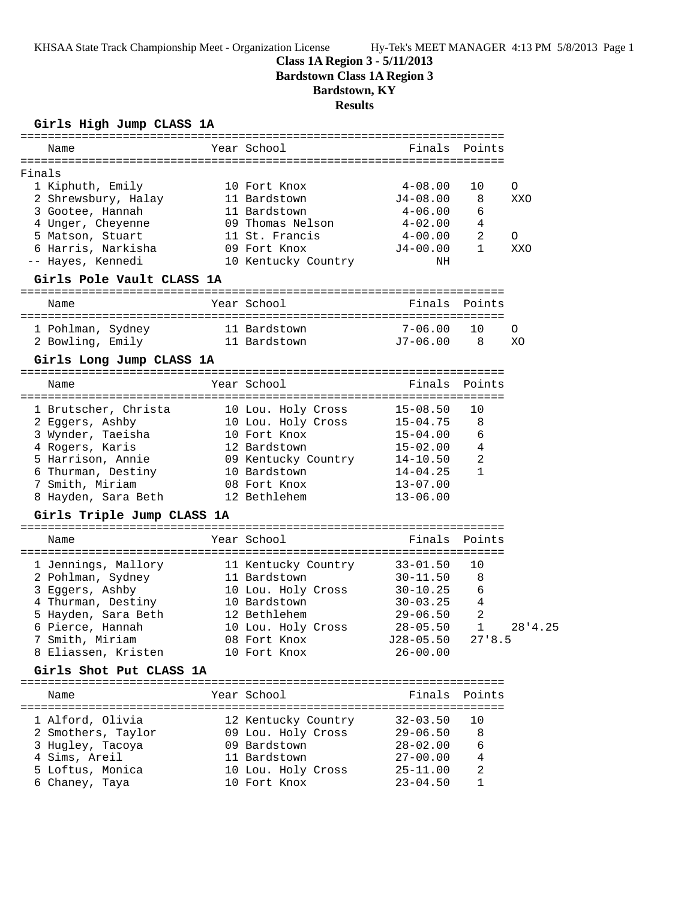KHSAA State Track Championship Meet - Organization License Hy-Tek's MEET MANAGER 4:13 PM 5/8/2013 Page 1

## **Class 1A Region 3 - 5/11/2013**

**Bardstown Class 1A Region 3**

# **Bardstown, KY**

**Results**

#### **Girls High Jump CLASS 1A**

| Name                                                                                                           | Year School                                 | Finals Points       |                |         |
|----------------------------------------------------------------------------------------------------------------|---------------------------------------------|---------------------|----------------|---------|
|                                                                                                                |                                             |                     |                |         |
| Finals                                                                                                         |                                             |                     |                |         |
| 1 Kiphuth, Emily                                                                                               | 10 Fort Knox                                | $4\hbox{--}08$ .00  | 10             | O       |
| 2 Shrewsbury, Halay<br>3 Gootee, Hannah                                                                        | 11 Bardstown<br>11 Bardstown                | J4-08.00<br>4-06.00 | 8<br>6         | XXO     |
| 4 Unger, Cheyenne                                                                                              | 09 Thomas Nelson                            | 4-02.00             | 4              |         |
| 5 Matson, Stuart                                                                                               | 11 St. Francis                              | $4 - 00.00$         | 2              | 0       |
| 6 Harris, Narkisha                                                                                             | 09 Fort Knox                                | $J4 - 00.00$        | 1              | XXO     |
| -- Hayes, Kennedi                                                                                              | 10 Kentucky Country                         | ΝH                  |                |         |
| Girls Pole Vault CLASS 1A                                                                                      |                                             |                     |                |         |
| Name                                                                                                           | Year School                                 | Finals Points       |                |         |
|                                                                                                                |                                             |                     |                |         |
| 1 Pohlman, Sydney 11 Bardstown                                                                                 |                                             | 7-06.00             | 10             | $\circ$ |
| 2 Bowling, Emily 11 Bardstown 57-06.00 8                                                                       |                                             |                     |                | XO      |
| Girls Long Jump CLASS 1A                                                                                       |                                             |                     |                |         |
| Name                                                                                                           | Year School                                 | Finals              | Points         |         |
|                                                                                                                |                                             | $15 - 08.50$        | 10             |         |
| 1 Brutscher, Christa      10 Lou. Holy Cross<br>2 Eggers, Ashby                                                |                                             |                     | 8              |         |
|                                                                                                                | 10 Lou. Holy Cross 15-04.75<br>10 Fort Knox | 15-04.00            | 6              |         |
| 3 Wynder, Taeisha<br>4 Rogers, Karis<br>4 Rogers, Karis                                                        | 12 Bardstown                                | 15-02.00            | 4              |         |
| 5 Harrison, Annie                                                                                              | 09 Kentucky Country                         | 14-10.50            | 2              |         |
| 6 Thurman, Destiny                                                                                             | 10 Bardstown                                | 14-04.25            | $\mathbf{1}$   |         |
| 7 Smith, Miriam                                                                                                | 08 Fort Knox                                | $13 - 07.00$        |                |         |
| 8 Hayden, Sara Beth                                                                                            | 12 Bethlehem                                | $13 - 06.00$        |                |         |
| Girls Triple Jump CLASS 1A                                                                                     |                                             |                     |                |         |
| Name                                                                                                           | Year School                                 | Finals              | Points         |         |
|                                                                                                                |                                             |                     |                |         |
| 1 Jennings, Mallory 11 Kentucky Country 33-01.50<br>2 Boblman Sydney 11 Bardstown 2011 50<br>2 Pohlman, Sydney | 11 Bardstown                                | $30 - 11.50$        | 10<br>8        |         |
| 3 Eggers, Ashby                                                                                                | 10 Lou. Holy Cross                          | $30 - 10.25$        | 6              |         |
| 4 Thurman, Destiny                                                                                             | 10 Bardstown                                | $30 - 03.25$        | 4              |         |
| 5 Hayden, Sara Beth                                                                                            | 12 Bethlehem                                | $29 - 06.50$        | $\overline{2}$ |         |
| 6 Pierce, Hannah                                                                                               | 10 Lou. Holy Cross 28-05.50                 |                     | $\mathbf{1}$   | 28'4.25 |
| 7 Smith, Miriam                                                                                                | 08 Fort Knox                                | J28-05.50 27'8.5    |                |         |
| 8 Eliassen, Kristen                                                                                            | 10 Fort Knox                                | $26 - 00.00$        |                |         |
| Girls Shot Put CLASS 1A                                                                                        |                                             |                     |                |         |
|                                                                                                                |                                             |                     |                |         |
| Name                                                                                                           | Year School                                 | Finals              | Points         |         |
| 1 Alford, Olivia                                                                                               | 12 Kentucky Country                         | $32 - 03.50$        | 10             |         |
| 2 Smothers, Taylor                                                                                             | 09 Lou. Holy Cross                          | $29 - 06.50$        | 8              |         |
| 3 Hugley, Tacoya                                                                                               | 09 Bardstown                                | $28 - 02.00$        | 6              |         |
| 4 Sims, Areil                                                                                                  | 11 Bardstown                                | $27 - 00.00$        | 4              |         |
| 5 Loftus, Monica                                                                                               | 10 Lou. Holy Cross                          | $25 - 11.00$        | 2              |         |
| 6 Chaney, Taya                                                                                                 | 10 Fort Knox                                | $23 - 04.50$        | $\mathbf{1}$   |         |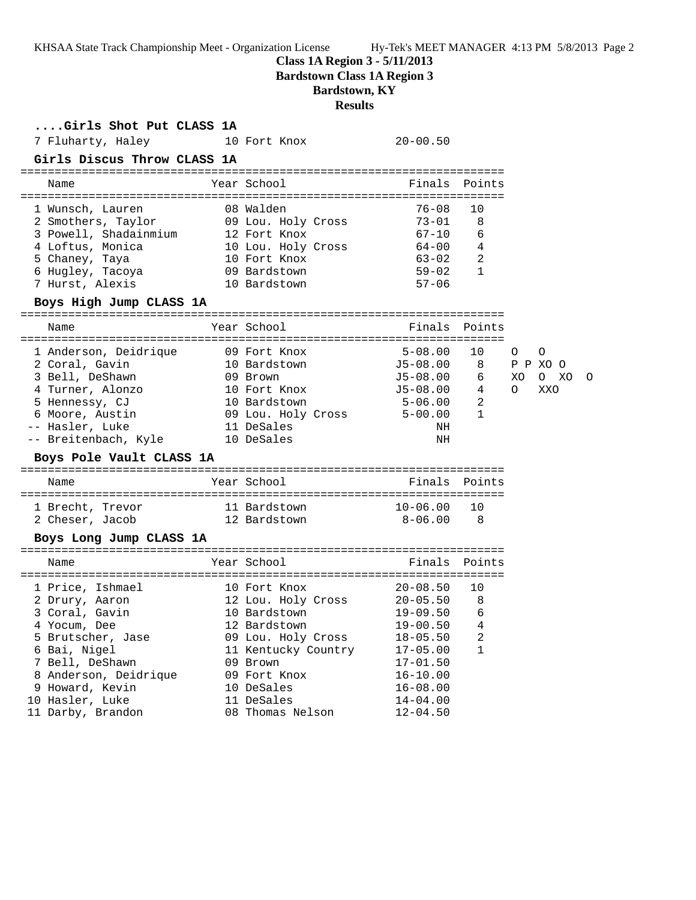KHSAA State Track Championship Meet - Organization License Hy-Tek's MEET MANAGER 4:13 PM 5/8/2013 Page 2

**Class 1A Region 3 - 5/11/2013**

**Bardstown Class 1A Region 3**

## **Bardstown, KY**

### **Results**

| Girls Shot Put CLASS 1A<br>7 Fluharty, Haley<br>Girls Discus Throw CLASS 1A                                                                                                                                                                | 10 Fort Knox                                                                                                                                                                                                             | $20 - 00.50$                                                                                                             |                                        |                                                       |   |
|--------------------------------------------------------------------------------------------------------------------------------------------------------------------------------------------------------------------------------------------|--------------------------------------------------------------------------------------------------------------------------------------------------------------------------------------------------------------------------|--------------------------------------------------------------------------------------------------------------------------|----------------------------------------|-------------------------------------------------------|---|
| Name                                                                                                                                                                                                                                       | Year School                                                                                                                                                                                                              |                                                                                                                          | Finals Points                          |                                                       |   |
| 1 Wunsch, Lauren<br>2 Smothers, Taylor 09 Lou. Holy Cross<br>3 Powell, Shadainmium 12 Fort Knox<br>4 Loftus, Monica<br>5 Chaney, Taya<br>in<br>San San<br>6 Hugley, Tacoya<br>7 Hurst, Alexis<br>Boys High Jump CLASS 1A                   | 08 Walden<br>10 Lou. Holy Cross<br>10 Fort Knox<br>09 Bardstown<br>10 Bardstown                                                                                                                                          | 76-08<br>73-01<br>$67 - 10$<br>$64 - 00$<br>63-02<br>59-02<br>$59 - 02$<br>$57 - 06$                                     | 10<br>8<br>6<br>4<br>2<br>$\mathbf{1}$ |                                                       |   |
| Name                                                                                                                                                                                                                                       | Year School                                                                                                                                                                                                              | Finals Points                                                                                                            |                                        |                                                       |   |
| 1 Anderson, Deidrique<br>2 Coral, Gavin<br>3 Bell, DeShawn<br>4 Turner, Alonzo<br>5 Hennessy, CJ<br>5 Hennessy, CJ<br>6 Moore, Austin<br>-- Hasler, Luke<br>-- Hasler, Luke<br>-- Breitenbach, Kyle 10 DeSales<br>Boys Pole Vault CLASS 1A | 09 Fort Knox<br>10 Bardstown<br>09 Brown<br>10 Fort Knox 55-08.00 4<br>11 DeSales                                                                                                                                        | $5 - 08.00$<br>J5-08.00 8 P P XO O<br>$J5 - 08.00$<br>NH<br>ΝH                                                           | 10<br>6 —<br>2<br>$\mathbf{1}$         | O<br>$\circ$<br>XO<br>XO<br>$\circ$<br>$\circ$<br>XXO | O |
| Name                                                                                                                                                                                                                                       | Year School                                                                                                                                                                                                              | Finals Points                                                                                                            |                                        |                                                       |   |
| 1 Brecht, Trevor<br>2 Cheser, Jacob<br>Boys Long Jump CLASS 1A                                                                                                                                                                             | 11 Bardstown 10-06.00<br>12 Bardstown                                                                                                                                                                                    | $8 - 06.00$                                                                                                              | 10<br>- 8                              |                                                       |   |
| Name                                                                                                                                                                                                                                       | Year School                                                                                                                                                                                                              | Finals                                                                                                                   | Points                                 |                                                       |   |
| 1 Price, Ishmael<br>2 Drury, Aaron<br>3 Coral, Gavin<br>4 Yocum, Dee<br>5 Brutscher, Jase<br>6 Bai, Nigel<br>7 Bell, DeShawn<br>8 Anderson, Deidrique<br>9 Howard, Kevin<br>10 Hasler, Luke<br>11 Darby, Brandon                           | 10 Fort Knox 20-08.50<br>12 Lou. Holy Cross 20-05.50<br>10 Bardstown<br>12 Bardstown 19-00.50 4<br>09 Lou. Holy Cross<br>11 Kentucky Country<br>09 Brown<br>09 Fort Knox<br>10 DeSales<br>11 DeSales<br>08 Thomas Nelson | 19-09.50<br>$18 - 05.50$<br>$17 - 05.00$<br>$17 - 01.50$<br>$16 - 10.00$<br>$16 - 08.00$<br>$14 - 04.00$<br>$12 - 04.50$ | 10<br>8<br>6<br>2<br>1                 |                                                       |   |